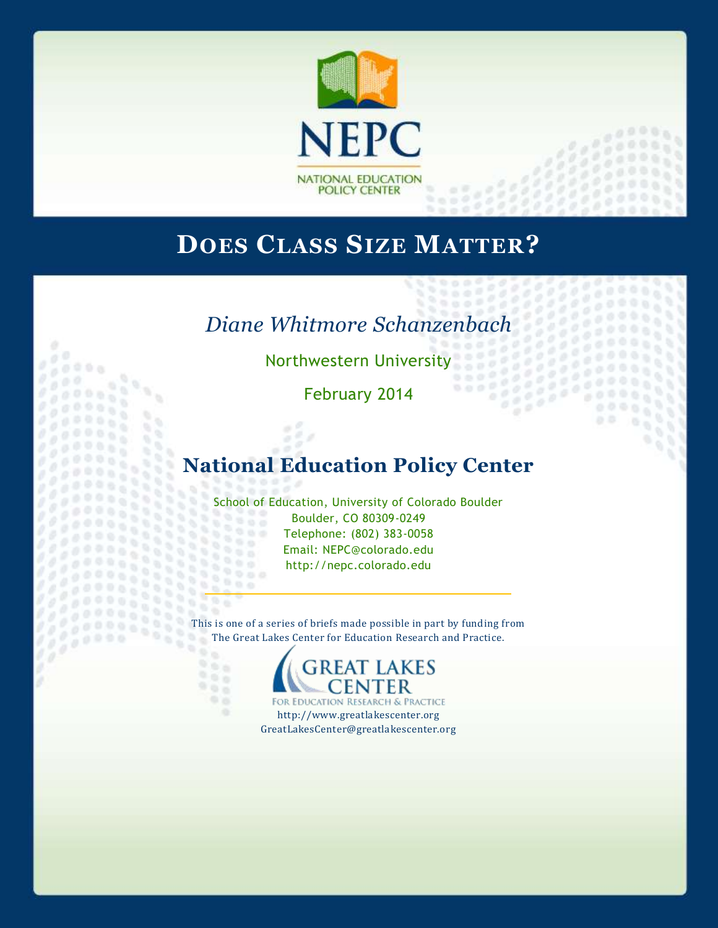

# **DOES CLASS SIZE MATTER?**

# *Diane Whitmore Schanzenbach*

Northwestern University<br>February 2011

 $0<sup>0</sup>$ 

ø

9

 $\frac{1}{2}$ s

 $00000$ 

97

O.

*<i><b>Propriet Legal* 

 $1.111$ 

 $\eta_1$ 

Y.

×

 $\mathbb{R}^2$  is  $0.66$ 

966 965

98

6ġ

 $0 - 0$ 

йğ.

o

February 2014

## **National Education Policy Center**

School of Education, University of Colorado Boulder 2552 Boulder, CO 80309-0249 w 2500 Telephone: (802) 383-0058 Email: NEPC@colorado.edu http://nepc.colorado.edu 

This is one of a series of briefs made possible in part by funding from The Great Lakes Center for Education Research and Practice.  $\mathbb{R}$ 

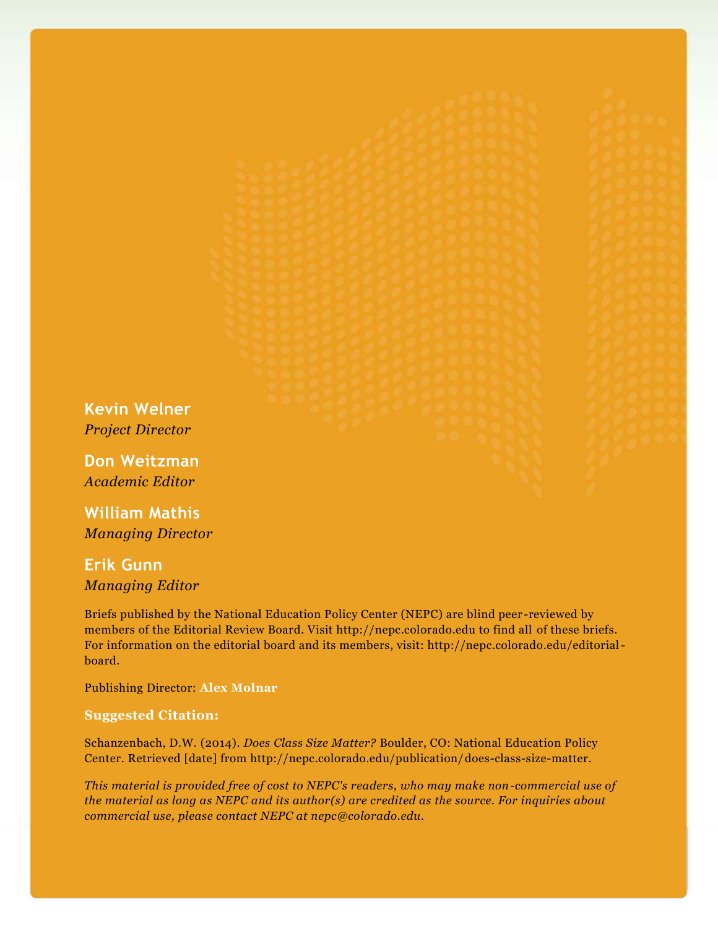**Kevin Welner** *Project Director*

**Don Weitzman** *Academic Editor*

**William Mathis** *Managing Director*

**Erik Gunn** *Managing Editor*

Briefs published by the National Education Policy Center (NEPC) are blind peer -reviewed by members of the Editorial Review Board. Visit http://nepc.colorado.edu to find all of these briefs. For information on the editorial board and its members, visit: http://nepc.colorado.edu/editorialboard.

Publishing Director: **Alex Molnar**

#### **Suggested Citation:**

Schanzenbach, D.W. (2014). *Does Class Size Matter?* Boulder, CO: National Education Policy Center. Retrieved [date] from http://nepc.colorado.edu/publication/does-class-size-matter.

*This material is provided free of cost to NEPC's readers, who may make non-commercial use of the material as long as NEPC and its author(s) are credited as the source. For inquiries about commercial use, please contact NEPC at nepc@colorado.edu.*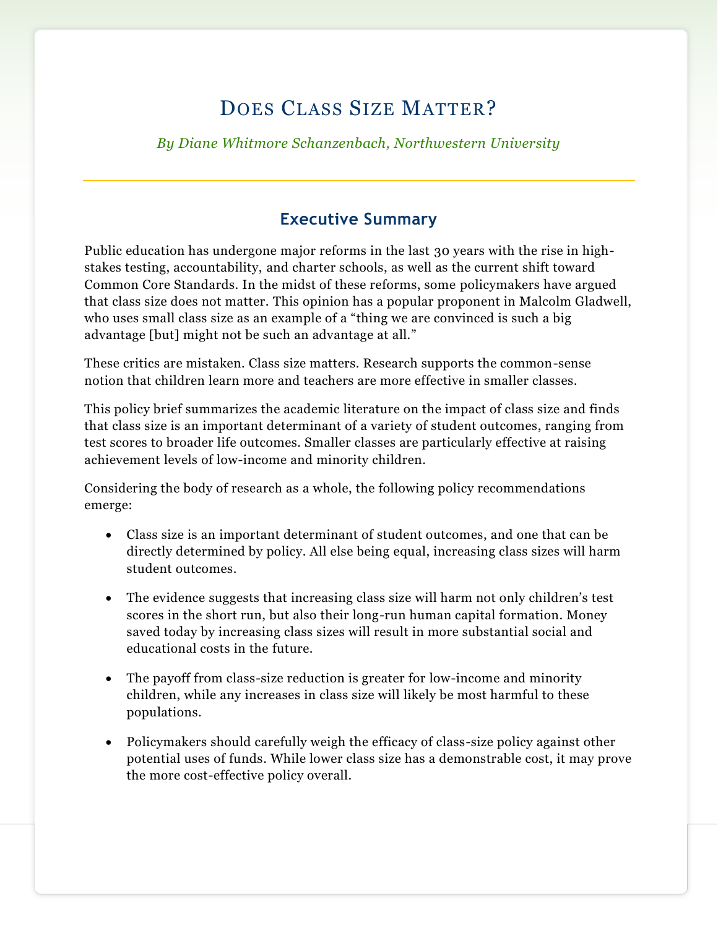## DOES CLASS SIZE MATTER?

*By Diane Whitmore Schanzenbach, Northwestern University*

## **Executive Summary**

Public education has undergone major reforms in the last 30 years with the rise in highstakes testing, accountability, and charter schools, as well as the current shift toward Common Core Standards. In the midst of these reforms, some policymakers have argued that class size does not matter. This opinion has a popular proponent in Malcolm Gladwell, who uses small class size as an example of a "thing we are convinced is such a big advantage [but] might not be such an advantage at all."

These critics are mistaken. Class size matters. Research supports the common-sense notion that children learn more and teachers are more effective in smaller classes.

This policy brief summarizes the academic literature on the impact of class size and finds that class size is an important determinant of a variety of student outcomes, ranging from test scores to broader life outcomes. Smaller classes are particularly effective at raising achievement levels of low-income and minority children.

Considering the body of research as a whole, the following policy recommendations emerge:

- Class size is an important determinant of student outcomes, and one that can be directly determined by policy. All else being equal, increasing class sizes will harm student outcomes.
- The evidence suggests that increasing class size will harm not only children's test scores in the short run, but also their long-run human capital formation. Money saved today by increasing class sizes will result in more substantial social and educational costs in the future.
- The payoff from class-size reduction is greater for low-income and minority children, while any increases in class size will likely be most harmful to these populations.
- Policymakers should carefully weigh the efficacy of class-size policy against other potential uses of funds. While lower class size has a demonstrable cost, it may prove the more cost-effective policy overall.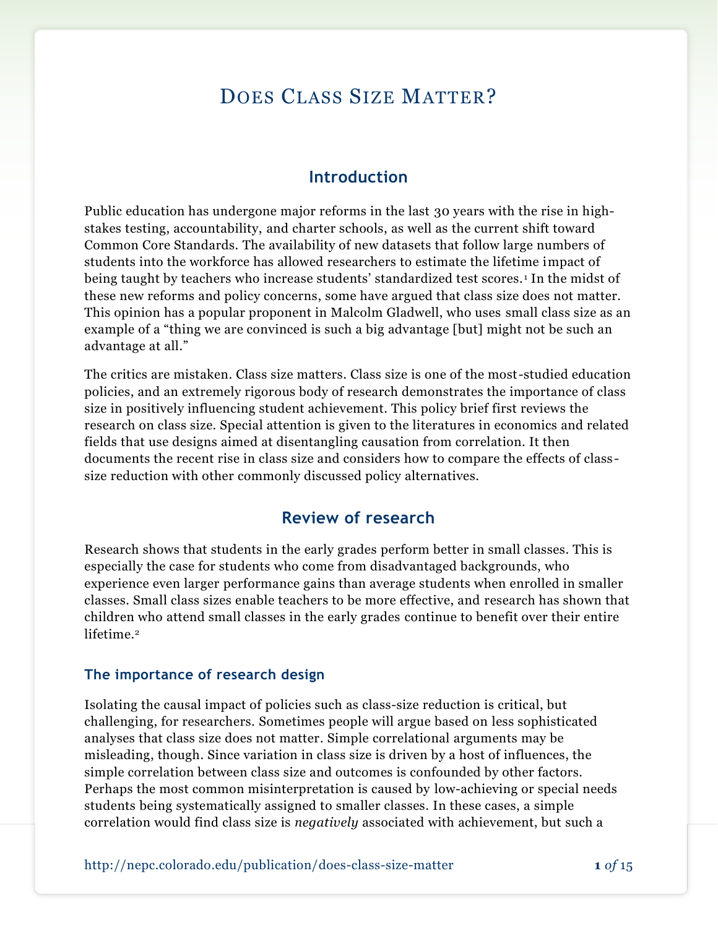## DOES CLASS SIZE MATTER?

#### **Introduction**

Public education has undergone major reforms in the last 30 years with the rise in highstakes testing, accountability, and charter schools, as well as the current shift toward Common Core Standards. The availability of new datasets that follow large numbers of students into the workforce has allowed researchers to estimate the lifetime impact of being taught by teachers who increase students' standardized test scores. <sup>1</sup> In the midst of these new reforms and policy concerns, some have argued that class size does not matter. This opinion has a popular proponent in Malcolm Gladwell, who uses small class size as an example of a "thing we are convinced is such a big advantage [but] might not be such an advantage at all."

The critics are mistaken. Class size matters. Class size is one of the most-studied education policies, and an extremely rigorous body of research demonstrates the importance of class size in positively influencing student achievement. This policy brief first reviews the research on class size. Special attention is given to the literatures in economics and related fields that use designs aimed at disentangling causation from correlation. It then documents the recent rise in class size and considers how to compare the effects of class size reduction with other commonly discussed policy alternatives.

### **Review of research**

Research shows that students in the early grades perform better in small classes. This is especially the case for students who come from disadvantaged backgrounds, who experience even larger performance gains than average students when enrolled in smaller classes. Small class sizes enable teachers to be more effective, and research has shown that children who attend small classes in the early grades continue to benefit over their entire lifetime. 2

#### **The importance of research design**

Isolating the causal impact of policies such as class-size reduction is critical, but challenging, for researchers. Sometimes people will argue based on less sophisticated analyses that class size does not matter. Simple correlational arguments may be misleading, though. Since variation in class size is driven by a host of influences, the simple correlation between class size and outcomes is confounded by other factors. Perhaps the most common misinterpretation is caused by low-achieving or special needs students being systematically assigned to smaller classes. In these cases, a simple correlation would find class size is *negatively* associated with achievement, but such a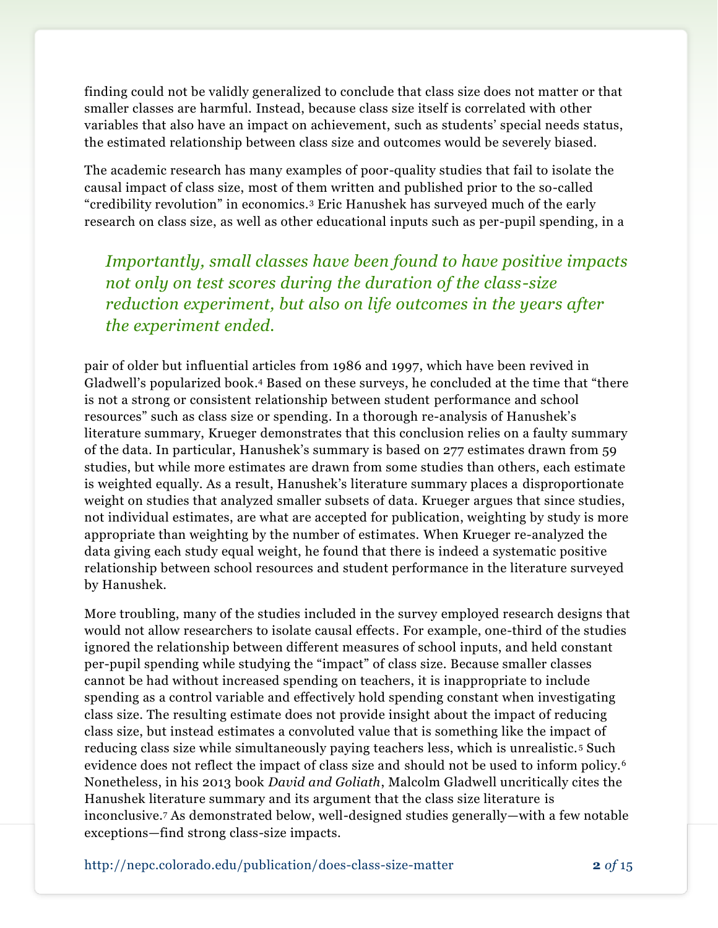finding could not be validly generalized to conclude that class size does not matter or that smaller classes are harmful. Instead, because class size itself is correlated with other variables that also have an impact on achievement, such as students' special needs status, the estimated relationship between class size and outcomes would be severely biased.

The academic research has many examples of poor-quality studies that fail to isolate the causal impact of class size, most of them written and published prior to the so-called "credibility revolution" in economics.<sup>3</sup> Eric Hanushek has surveyed much of the early research on class size, as well as other educational inputs such as per-pupil spending, in a

*Importantly, small classes have been found to have positive impacts not only on test scores during the duration of the class-size reduction experiment, but also on life outcomes in the years after the experiment ended.*

pair of older but influential articles from 1986 and 1997, which have been revived in Gladwell's popularized book. <sup>4</sup> Based on these surveys, he concluded at the time that "there is not a strong or consistent relationship between student performance and school resources" such as class size or spending. In a thorough re-analysis of Hanushek's literature summary, Krueger demonstrates that this conclusion relies on a faulty summary of the data. In particular, Hanushek's summary is based on 277 estimates drawn from 59 studies, but while more estimates are drawn from some studies than others, each estimate is weighted equally. As a result, Hanushek's literature summary places a disproportionate weight on studies that analyzed smaller subsets of data. Krueger argues that since studies, not individual estimates, are what are accepted for publication, weighting by study is more appropriate than weighting by the number of estimates. When Krueger re-analyzed the data giving each study equal weight, he found that there is indeed a systematic positive relationship between school resources and student performance in the literature surveyed by Hanushek.

More troubling, many of the studies included in the survey employed research designs that would not allow researchers to isolate causal effects. For example, one-third of the studies ignored the relationship between different measures of school inputs, and held constant per-pupil spending while studying the "impact" of class size. Because smaller classes cannot be had without increased spending on teachers, it is inappropriate to include spending as a control variable and effectively hold spending constant when investigating class size. The resulting estimate does not provide insight about the impact of reducing class size, but instead estimates a convoluted value that is something like the impact of reducing class size while simultaneously paying teachers less, which is unrealistic. <sup>5</sup> Such evidence does not reflect the impact of class size and should not be used to inform policy.<sup>6</sup> Nonetheless, in his 2013 book *David and Goliath*, Malcolm Gladwell uncritically cites the Hanushek literature summary and its argument that the class size literature is inconclusive.<sup>7</sup> As demonstrated below, well-designed studies generally—with a few notable exceptions—find strong class-size impacts.

http://nepc.colorado.edu/publication/does-class-size-matter **2** *of* 15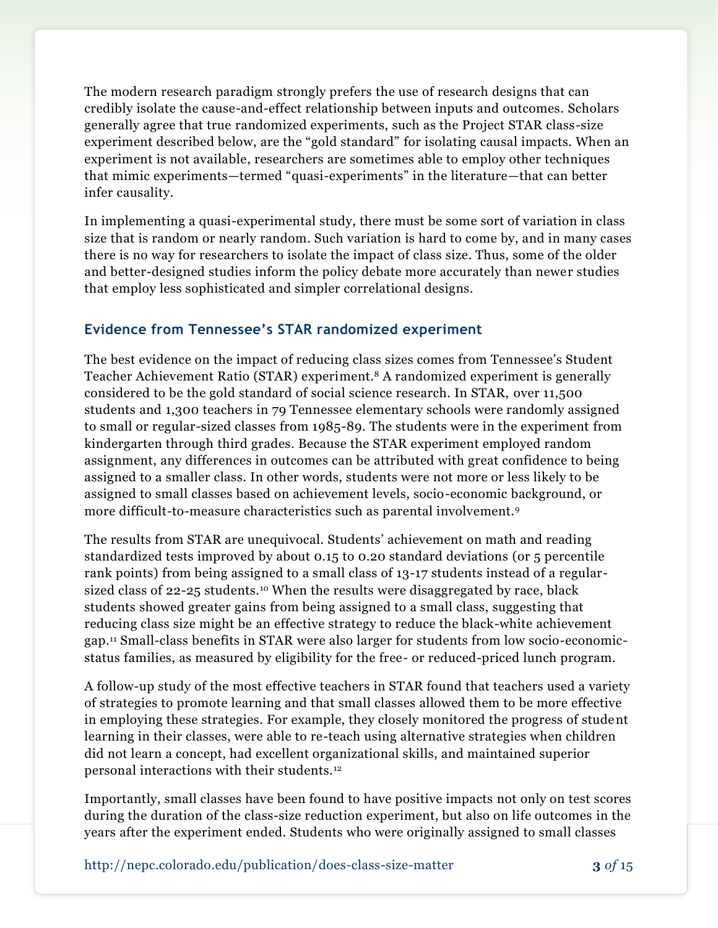The modern research paradigm strongly prefers the use of research designs that can credibly isolate the cause-and-effect relationship between inputs and outcomes. Scholars generally agree that true randomized experiments, such as the Project STAR class-size experiment described below, are the "gold standard" for isolating causal impacts. When an experiment is not available, researchers are sometimes able to employ other techniques that mimic experiments—termed "quasi-experiments" in the literature—that can better infer causality.

In implementing a quasi-experimental study, there must be some sort of variation in class size that is random or nearly random. Such variation is hard to come by, and in many cases there is no way for researchers to isolate the impact of class size. Thus, some of the older and better-designed studies inform the policy debate more accurately than newer studies that employ less sophisticated and simpler correlational designs.

#### **Evidence from Tennessee's STAR randomized experiment**

The best evidence on the impact of reducing class sizes comes from Tennessee's Student Teacher Achievement Ratio (STAR) experiment.<sup>8</sup> A randomized experiment is generally considered to be the gold standard of social science research. In STAR, over 11,500 students and 1,300 teachers in 79 Tennessee elementary schools were randomly assigned to small or regular-sized classes from 1985-89. The students were in the experiment from kindergarten through third grades. Because the STAR experiment employed random assignment, any differences in outcomes can be attributed with great confidence to being assigned to a smaller class. In other words, students were not more or less likely to be assigned to small classes based on achievement levels, socio-economic background, or more difficult-to-measure characteristics such as parental involvement.<sup>9</sup>

The results from STAR are unequivocal. Students' achievement on math and reading standardized tests improved by about 0.15 to 0.20 standard deviations (or 5 percentile rank points) from being assigned to a small class of 13-17 students instead of a regularsized class of  $22$ -25 students.<sup>10</sup> When the results were disaggregated by race, black students showed greater gains from being assigned to a small class, suggesting that reducing class size might be an effective strategy to reduce the black-white achievement gap.<sup>11</sup> Small-class benefits in STAR were also larger for students from low socio-economicstatus families, as measured by eligibility for the free- or reduced-priced lunch program.

A follow-up study of the most effective teachers in STAR found that teachers used a variety of strategies to promote learning and that small classes allowed them to be more effective in employing these strategies. For example, they closely monitored the progress of student learning in their classes, were able to re-teach using alternative strategies when children did not learn a concept, had excellent organizational skills, and maintained superior personal interactions with their students.<sup>12</sup>

Importantly, small classes have been found to have positive impacts not only on test scores during the duration of the class-size reduction experiment, but also on life outcomes in the years after the experiment ended. Students who were originally assigned to small classes

http://nepc.colorado.edu/publication/does-class-size-matter **3** *of* 15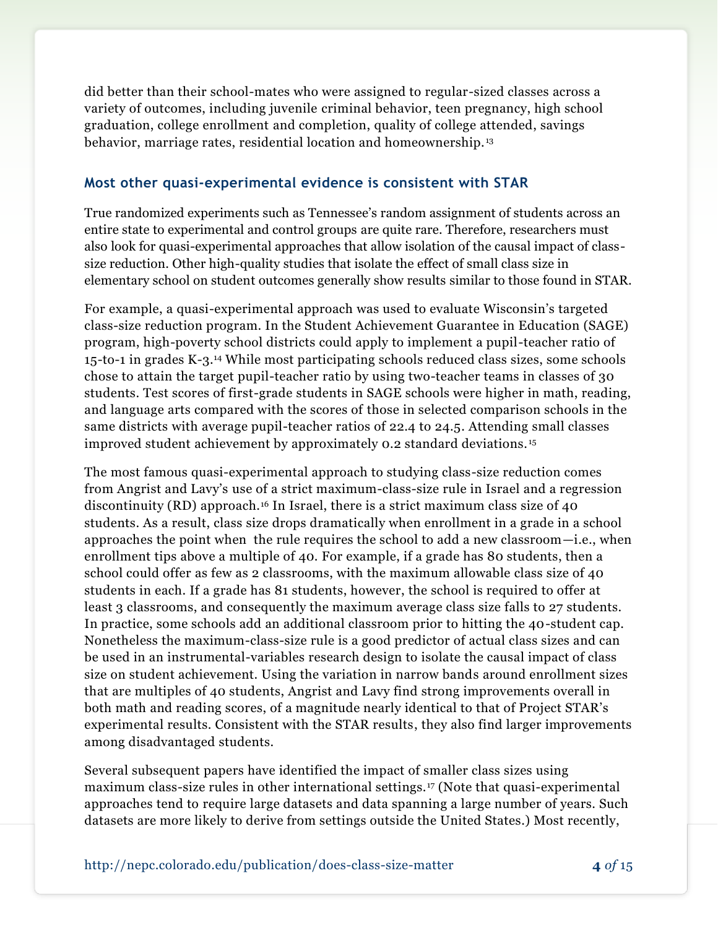did better than their school-mates who were assigned to regular-sized classes across a variety of outcomes, including juvenile criminal behavior, teen pregnancy, high school graduation, college enrollment and completion, quality of college attended, savings behavior, marriage rates, residential location and homeownership. <sup>13</sup>

#### **Most other quasi-experimental evidence is consistent with STAR**

True randomized experiments such as Tennessee's random assignment of students across an entire state to experimental and control groups are quite rare. Therefore, researchers must also look for quasi-experimental approaches that allow isolation of the causal impact of classsize reduction. Other high-quality studies that isolate the effect of small class size in elementary school on student outcomes generally show results similar to those found in STAR.

For example, a quasi-experimental approach was used to evaluate Wisconsin's targeted class-size reduction program. In the Student Achievement Guarantee in Education (SAGE) program, high-poverty school districts could apply to implement a pupil-teacher ratio of 15-to-1 in grades K-3.<sup>14</sup> While most participating schools reduced class sizes, some schools chose to attain the target pupil-teacher ratio by using two-teacher teams in classes of 30 students. Test scores of first-grade students in SAGE schools were higher in math, reading, and language arts compared with the scores of those in selected comparison schools in the same districts with average pupil-teacher ratios of 22.4 to 24.5. Attending small classes improved student achievement by approximately 0.2 standard deviations. <sup>15</sup>

The most famous quasi-experimental approach to studying class-size reduction comes from Angrist and Lavy's use of a strict maximum-class-size rule in Israel and a regression discontinuity (RD) approach.<sup>16</sup> In Israel, there is a strict maximum class size of 40 students. As a result, class size drops dramatically when enrollment in a grade in a school approaches the point when the rule requires the school to add a new classroom—i.e., when enrollment tips above a multiple of 40. For example, if a grade has 80 students, then a school could offer as few as 2 classrooms, with the maximum allowable class size of 40 students in each. If a grade has 81 students, however, the school is required to offer at least 3 classrooms, and consequently the maximum average class size falls to 27 students. In practice, some schools add an additional classroom prior to hitting the 40-student cap. Nonetheless the maximum-class-size rule is a good predictor of actual class sizes and can be used in an instrumental-variables research design to isolate the causal impact of class size on student achievement. Using the variation in narrow bands around enrollment sizes that are multiples of 40 students, Angrist and Lavy find strong improvements overall in both math and reading scores, of a magnitude nearly identical to that of Project STAR's experimental results. Consistent with the STAR results, they also find larger improvements among disadvantaged students.

Several subsequent papers have identified the impact of smaller class sizes using maximum class-size rules in other international settings.<sup>17</sup> (Note that quasi-experimental approaches tend to require large datasets and data spanning a large number of years. Such datasets are more likely to derive from settings outside the United States.) Most recently,

http://nepc.colorado.edu/publication/does-class-size-matter **4** *of* 15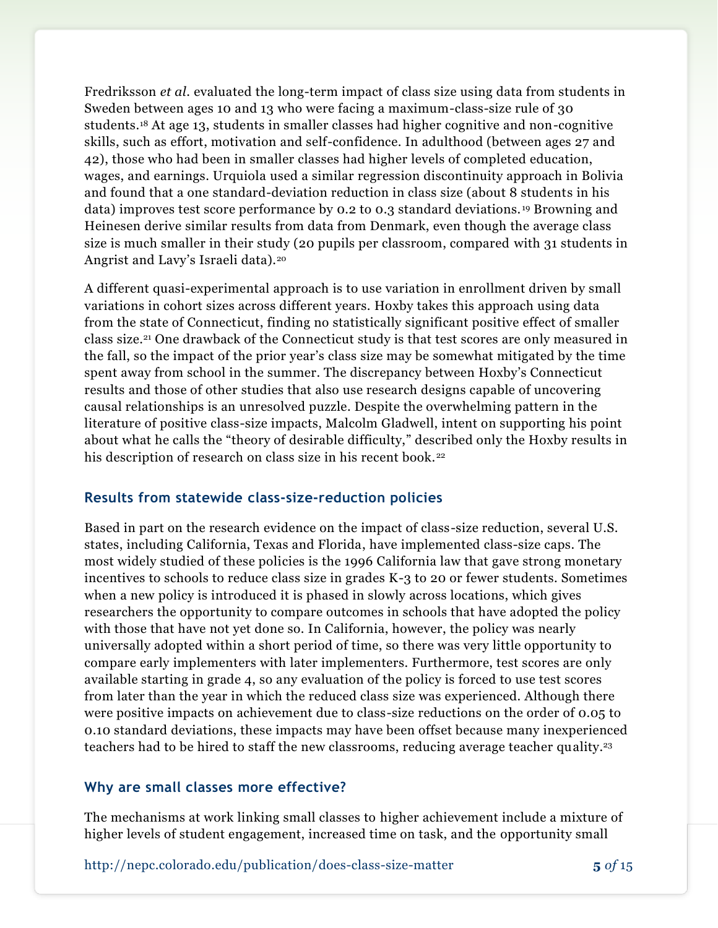Fredriksson *et al*. evaluated the long-term impact of class size using data from students in Sweden between ages 10 and 13 who were facing a maximum-class-size rule of 30 students.<sup>18</sup> At age 13, students in smaller classes had higher cognitive and non-cognitive skills, such as effort, motivation and self-confidence. In adulthood (between ages 27 and 42), those who had been in smaller classes had higher levels of completed education, wages, and earnings. Urquiola used a similar regression discontinuity approach in Bolivia and found that a one standard-deviation reduction in class size (about 8 students in his data) improves test score performance by 0.2 to 0.3 standard deviations. <sup>19</sup> Browning and Heinesen derive similar results from data from Denmark, even though the average class size is much smaller in their study (20 pupils per classroom, compared with 31 students in Angrist and Lavy's Israeli data).<sup>20</sup>

A different quasi-experimental approach is to use variation in enrollment driven by small variations in cohort sizes across different years. Hoxby takes this approach using data from the state of Connecticut, finding no statistically significant positive effect of smaller class size.<sup>21</sup> One drawback of the Connecticut study is that test scores are only measured in the fall, so the impact of the prior year's class size may be somewhat mitigated by the time spent away from school in the summer. The discrepancy between Hoxby's Connecticut results and those of other studies that also use research designs capable of uncovering causal relationships is an unresolved puzzle. Despite the overwhelming pattern in the literature of positive class-size impacts, Malcolm Gladwell, intent on supporting his point about what he calls the "theory of desirable difficulty," described only the Hoxby results in his description of research on class size in his recent book.<sup>22</sup>

#### **Results from statewide class-size-reduction policies**

Based in part on the research evidence on the impact of class-size reduction, several U.S. states, including California, Texas and Florida, have implemented class-size caps. The most widely studied of these policies is the 1996 California law that gave strong monetary incentives to schools to reduce class size in grades K-3 to 20 or fewer students. Sometimes when a new policy is introduced it is phased in slowly across locations, which gives researchers the opportunity to compare outcomes in schools that have adopted the policy with those that have not yet done so. In California, however, the policy was nearly universally adopted within a short period of time, so there was very little opportunity to compare early implementers with later implementers. Furthermore, test scores are only available starting in grade 4, so any evaluation of the policy is forced to use test scores from later than the year in which the reduced class size was experienced. Although there were positive impacts on achievement due to class-size reductions on the order of 0.05 to 0.10 standard deviations, these impacts may have been offset because many inexperienced teachers had to be hired to staff the new classrooms, reducing average teacher quality.<sup>23</sup>

#### **Why are small classes more effective?**

The mechanisms at work linking small classes to higher achievement include a mixture of higher levels of student engagement, increased time on task, and the opportunity small

http://nepc.colorado.edu/publication/does-class-size-matter **5** *of* 15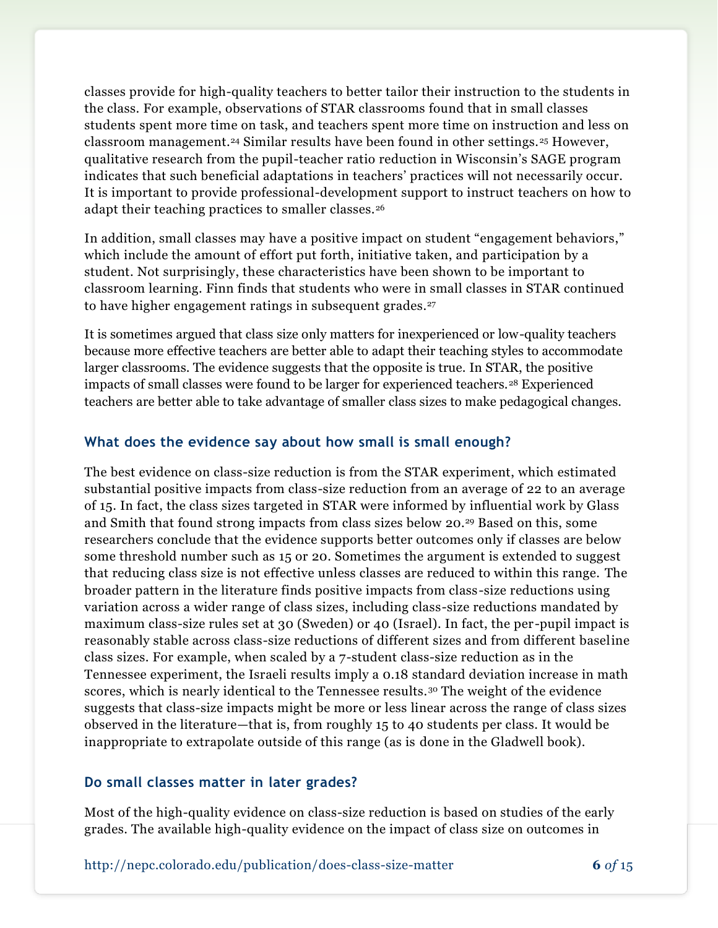classes provide for high-quality teachers to better tailor their instruction to the students in the class. For example, observations of STAR classrooms found that in small classes students spent more time on task, and teachers spent more time on instruction and less on classroom management.<sup>24</sup> Similar results have been found in other settings.<sup>25</sup> However, qualitative research from the pupil-teacher ratio reduction in Wisconsin's SAGE program indicates that such beneficial adaptations in teachers' practices will not necessarily occur. It is important to provide professional-development support to instruct teachers on how to adapt their teaching practices to smaller classes.<sup>26</sup>

In addition, small classes may have a positive impact on student "engagement behaviors," which include the amount of effort put forth, initiative taken, and participation by a student. Not surprisingly, these characteristics have been shown to be important to classroom learning. Finn finds that students who were in small classes in STAR continued to have higher engagement ratings in subsequent grades.<sup>27</sup>

It is sometimes argued that class size only matters for inexperienced or low-quality teachers because more effective teachers are better able to adapt their teaching styles to accommodate larger classrooms. The evidence suggests that the opposite is true. In STAR, the positive impacts of small classes were found to be larger for experienced teachers.<sup>28</sup> Experienced teachers are better able to take advantage of smaller class sizes to make pedagogical changes.

#### **What does the evidence say about how small is small enough?**

The best evidence on class-size reduction is from the STAR experiment, which estimated substantial positive impacts from class-size reduction from an average of 22 to an average of 15. In fact, the class sizes targeted in STAR were informed by influential work by Glass and Smith that found strong impacts from class sizes below 20.<sup>29</sup> Based on this, some researchers conclude that the evidence supports better outcomes only if classes are below some threshold number such as 15 or 20. Sometimes the argument is extended to suggest that reducing class size is not effective unless classes are reduced to within this range. The broader pattern in the literature finds positive impacts from class-size reductions using variation across a wider range of class sizes, including class-size reductions mandated by maximum class-size rules set at 30 (Sweden) or 40 (Israel). In fact, the per-pupil impact is reasonably stable across class-size reductions of different sizes and from different baseline class sizes. For example, when scaled by a 7-student class-size reduction as in the Tennessee experiment, the Israeli results imply a 0.18 standard deviation increase in math scores, which is nearly identical to the Tennessee results.<sup>30</sup> The weight of the evidence suggests that class-size impacts might be more or less linear across the range of class sizes observed in the literature—that is, from roughly 15 to 40 students per class. It would be inappropriate to extrapolate outside of this range (as is done in the Gladwell book).

#### **Do small classes matter in later grades?**

Most of the high-quality evidence on class-size reduction is based on studies of the early grades. The available high-quality evidence on the impact of class size on outcomes in

http://nepc.colorado.edu/publication/does-class-size-matter **6** *of* 15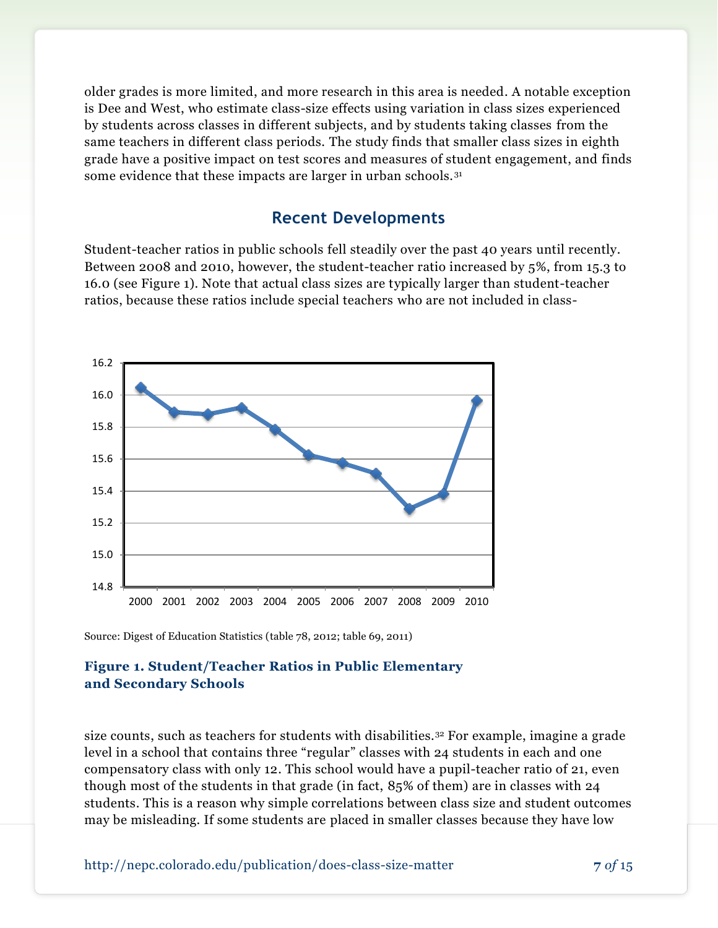older grades is more limited, and more research in this area is needed. A notable exception is Dee and West, who estimate class-size effects using variation in class sizes experienced by students across classes in different subjects, and by students taking classes from the same teachers in different class periods. The study finds that smaller class sizes in eighth grade have a positive impact on test scores and measures of student engagement, and finds some evidence that these impacts are larger in urban schools.<sup>31</sup>

### **Recent Developments**

Student-teacher ratios in public schools fell steadily over the past 40 years until recently. Between 2008 and 2010, however, the student-teacher ratio increased by 5%, from 15.3 to 16.0 (see Figure 1). Note that actual class sizes are typically larger than student-teacher ratios, because these ratios include special teachers who are not included in class-



Source: Digest of Education Statistics (table 78, 2012; table 69, 2011)

#### **Figure 1. Student/Teacher Ratios in Public Elementary and Secondary Schools**

size counts, such as teachers for students with disabilities.<sup>32</sup> For example, imagine a grade level in a school that contains three "regular" classes with 24 students in each and one compensatory class with only 12. This school would have a pupil-teacher ratio of 21, even though most of the students in that grade (in fact, 85% of them) are in classes with 24 students. This is a reason why simple correlations between class size and student outcomes may be misleading. If some students are placed in smaller classes because they have low

http://nepc.colorado.edu/publication/does-class-size-matter **7** *of* 15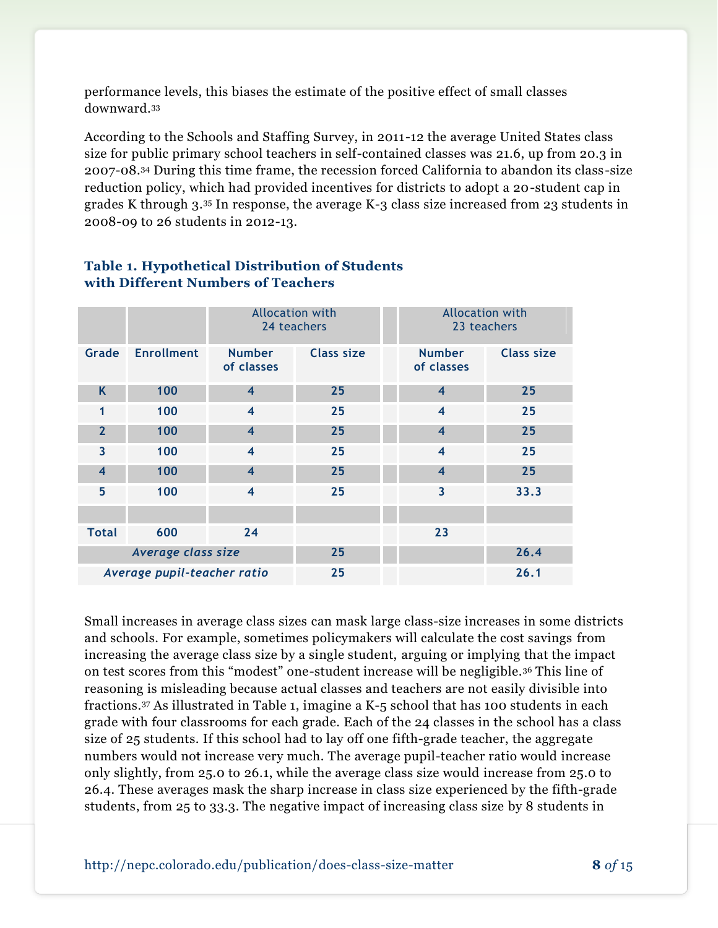performance levels, this biases the estimate of the positive effect of small classes downward.<sup>33</sup>

According to the Schools and Staffing Survey, in 2011-12 the average United States class size for public primary school teachers in self-contained classes was 21.6, up from 20.3 in 2007-08.<sup>34</sup> During this time frame, the recession forced California to abandon its class -size reduction policy, which had provided incentives for districts to adopt a 20-student cap in grades K through 3.<sup>35</sup> In response, the average K-3 class size increased from 23 students in 2008-09 to 26 students in 2012-13.

|                             |                   | <b>Allocation with</b><br>24 teachers |                   | <b>Allocation with</b><br>23 teachers |                   |
|-----------------------------|-------------------|---------------------------------------|-------------------|---------------------------------------|-------------------|
| Grade                       | <b>Enrollment</b> | <b>Number</b><br>of classes           | <b>Class size</b> | <b>Number</b><br>of classes           | <b>Class size</b> |
| K                           | 100               | $\overline{\mathbf{4}}$               | 25                | $\overline{\mathbf{4}}$               | 25                |
| 1                           | 100               | $\overline{\bf 4}$                    | 25                | $\overline{\bf 4}$                    | 25                |
| $\overline{2}$              | 100               | $\overline{\mathbf{4}}$               | 25                | $\overline{\mathbf{4}}$               | 25                |
| $\overline{\mathbf{3}}$     | 100               | $\overline{\bf 4}$                    | 25                | $\overline{\bf 4}$                    | 25                |
| $\overline{4}$              | 100               | $\overline{\mathbf{4}}$               | 25                | $\overline{\mathbf{4}}$               | 25                |
| 5                           | 100               | $\overline{\bf 4}$                    | 25                | $\overline{\mathbf{3}}$               | 33.3              |
|                             |                   |                                       |                   |                                       |                   |
| <b>Total</b>                | 600               | 24                                    |                   | 23                                    |                   |
| Average class size          |                   |                                       | 25                |                                       | 26.4              |
| Average pupil-teacher ratio |                   |                                       | 25                |                                       | 26.1              |

#### **Table 1. Hypothetical Distribution of Students with Different Numbers of Teachers**

Small increases in average class sizes can mask large class-size increases in some districts and schools. For example, sometimes policymakers will calculate the cost savings from increasing the average class size by a single student, arguing or implying that the impact on test scores from this "modest" one-student increase will be negligible.<sup>36</sup> This line of reasoning is misleading because actual classes and teachers are not easily divisible into fractions.<sup>37</sup> As illustrated in Table 1, imagine a K-5 school that has 100 students in each grade with four classrooms for each grade. Each of the 24 classes in the school has a class size of 25 students. If this school had to lay off one fifth-grade teacher, the aggregate numbers would not increase very much. The average pupil-teacher ratio would increase only slightly, from 25.0 to 26.1, while the average class size would increase from 25.0 to 26.4. These averages mask the sharp increase in class size experienced by the fifth-grade students, from 25 to 33.3. The negative impact of increasing class size by 8 students in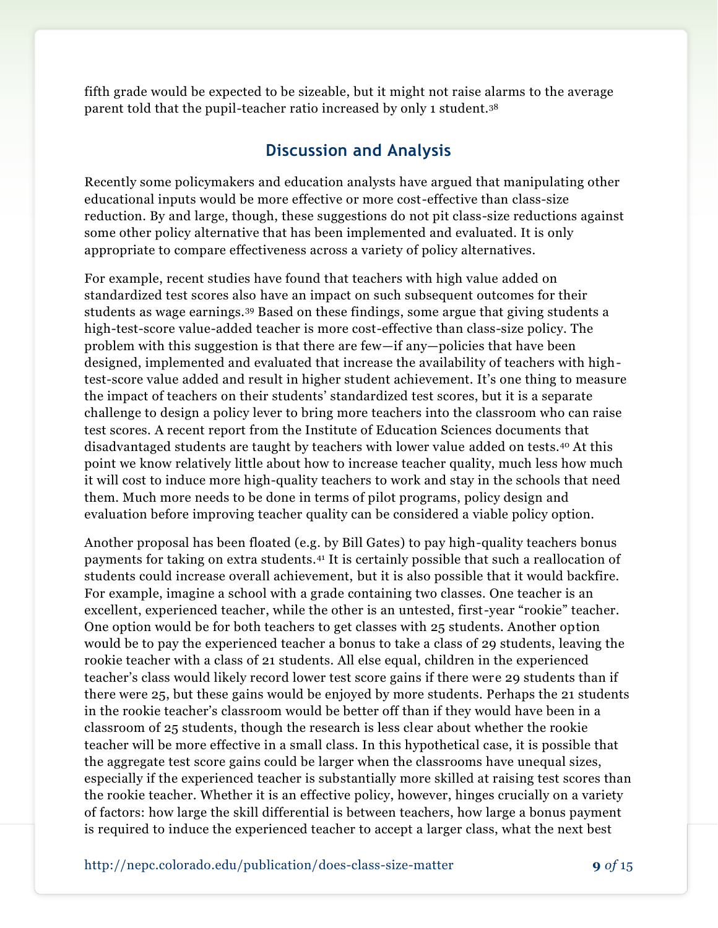fifth grade would be expected to be sizeable, but it might not raise alarms to the average parent told that the pupil-teacher ratio increased by only 1 student.<sup>38</sup>

## **Discussion and Analysis**

Recently some policymakers and education analysts have argued that manipulating other educational inputs would be more effective or more cost-effective than class-size reduction. By and large, though, these suggestions do not pit class-size reductions against some other policy alternative that has been implemented and evaluated. It is only appropriate to compare effectiveness across a variety of policy alternatives.

For example, recent studies have found that teachers with high value added on standardized test scores also have an impact on such subsequent outcomes for their students as wage earnings.<sup>39</sup> Based on these findings, some argue that giving students a high-test-score value-added teacher is more cost-effective than class-size policy. The problem with this suggestion is that there are few—if any—policies that have been designed, implemented and evaluated that increase the availability of teachers with hightest-score value added and result in higher student achievement. It's one thing to measure the impact of teachers on their students' standardized test scores, but it is a separate challenge to design a policy lever to bring more teachers into the classroom who can raise test scores. A recent report from the Institute of Education Sciences documents that disadvantaged students are taught by teachers with lower value added on tests.<sup>40</sup> At this point we know relatively little about how to increase teacher quality, much less how much it will cost to induce more high-quality teachers to work and stay in the schools that need them. Much more needs to be done in terms of pilot programs, policy design and evaluation before improving teacher quality can be considered a viable policy option.

Another proposal has been floated (e.g. by Bill Gates) to pay high-quality teachers bonus payments for taking on extra students.<sup>41</sup> It is certainly possible that such a reallocation of students could increase overall achievement, but it is also possible that it would backfire. For example, imagine a school with a grade containing two classes. One teacher is an excellent, experienced teacher, while the other is an untested, first-year "rookie" teacher. One option would be for both teachers to get classes with 25 students. Another option would be to pay the experienced teacher a bonus to take a class of 29 students, leaving the rookie teacher with a class of 21 students. All else equal, children in the experienced teacher's class would likely record lower test score gains if there were 29 students than if there were 25, but these gains would be enjoyed by more students. Perhaps the 21 students in the rookie teacher's classroom would be better off than if they would have been in a classroom of 25 students, though the research is less clear about whether the rookie teacher will be more effective in a small class. In this hypothetical case, it is possible that the aggregate test score gains could be larger when the classrooms have unequal sizes, especially if the experienced teacher is substantially more skilled at raising test scores than the rookie teacher. Whether it is an effective policy, however, hinges crucially on a variety of factors: how large the skill differential is between teachers, how large a bonus payment is required to induce the experienced teacher to accept a larger class, what the next best

http://nepc.colorado.edu/publication/does-class-size-matter **9** *of* 15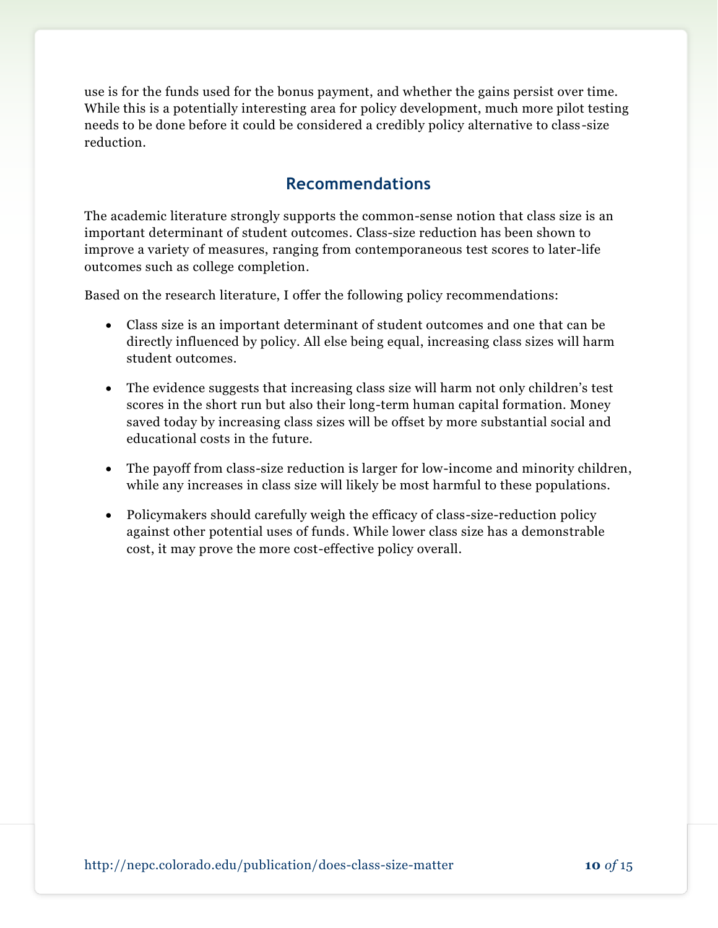use is for the funds used for the bonus payment, and whether the gains persist over time. While this is a potentially interesting area for policy development, much more pilot testing needs to be done before it could be considered a credibly policy alternative to class -size reduction.

## **Recommendations**

The academic literature strongly supports the common-sense notion that class size is an important determinant of student outcomes. Class-size reduction has been shown to improve a variety of measures, ranging from contemporaneous test scores to later-life outcomes such as college completion.

Based on the research literature, I offer the following policy recommendations:

- Class size is an important determinant of student outcomes and one that can be directly influenced by policy. All else being equal, increasing class sizes will harm student outcomes.
- The evidence suggests that increasing class size will harm not only children's test scores in the short run but also their long-term human capital formation. Money saved today by increasing class sizes will be offset by more substantial social and educational costs in the future.
- The payoff from class-size reduction is larger for low-income and minority children, while any increases in class size will likely be most harmful to these populations.
- Policymakers should carefully weigh the efficacy of class-size-reduction policy against other potential uses of funds. While lower class size has a demonstrable cost, it may prove the more cost-effective policy overall.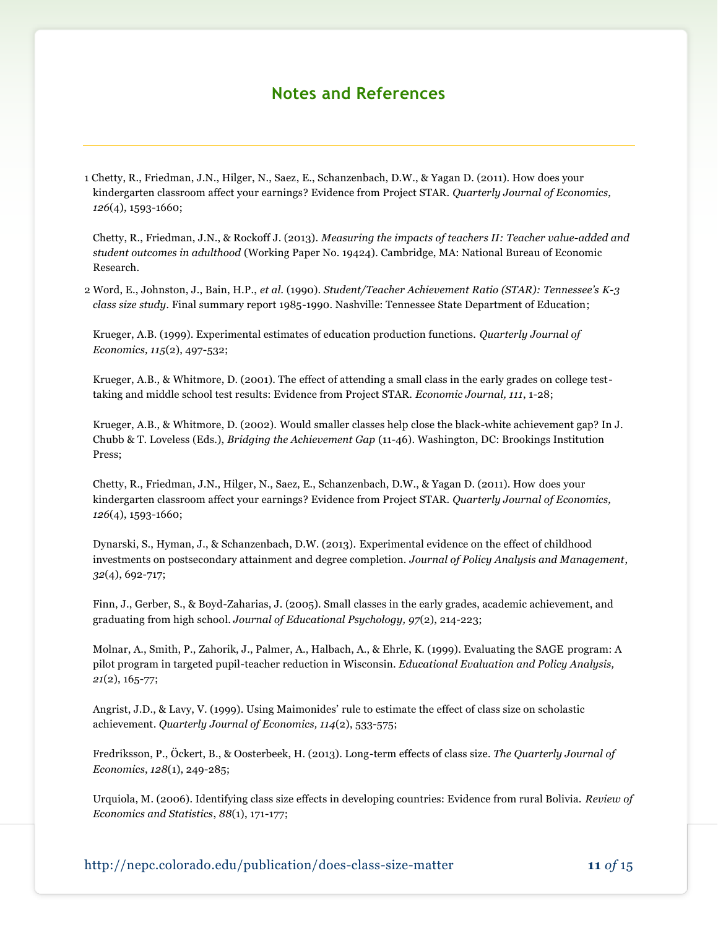### **Notes and References**

1 Chetty, R., Friedman, J.N., Hilger, N., Saez, E., Schanzenbach, D.W., & Yagan D. (2011). How does your kindergarten classroom affect your earnings? Evidence from Project STAR. *Quarterly Journal of Economics, 126*(4), 1593-1660;

Chetty, R., Friedman, J.N., & Rockoff J. (2013). *Measuring the impacts of teachers II: Teacher value-added and student outcomes in adulthood* (Working Paper No. 19424). Cambridge, MA: National Bureau of Economic Research.

2 Word, E., Johnston, J., Bain, H.P., *et al.* (1990). *Student/Teacher Achievement Ratio (STAR): Tennessee's K-3 class size study.* Final summary report 1985-1990. Nashville: Tennessee State Department of Education;

Krueger, A.B. (1999). Experimental estimates of education production functions. *Quarterly Journal of Economics, 115*(2), 497-532;

Krueger, A.B., & Whitmore, D. (2001). The effect of attending a small class in the early grades on college testtaking and middle school test results: Evidence from Project STAR. *Economic Journal, 111*, 1-28;

Krueger, A.B., & Whitmore, D. (2002). Would smaller classes help close the black-white achievement gap? In J. Chubb & T. Loveless (Eds.), *Bridging the Achievement Gap* (11-46). Washington, DC: Brookings Institution Press;

Chetty, R., Friedman, J.N., Hilger, N., Saez, E., Schanzenbach, D.W., & Yagan D. (2011). How does your kindergarten classroom affect your earnings? Evidence from Project STAR. *Quarterly Journal of Economics, 126*(4), 1593-1660;

Dynarski, S., Hyman, J., & Schanzenbach, D.W. (2013). Experimental evidence on the effect of childhood investments on postsecondary attainment and degree completion. *Journal of Policy Analysis and Management*, *32*(4), 692-717;

Finn, J., Gerber, S., & Boyd-Zaharias, J. (2005). Small classes in the early grades, academic achievement, and graduating from high school. *Journal of Educational Psychology, 97*(2), 214-223;

Molnar, A., Smith, P., Zahorik, J., Palmer, A., Halbach, A., & Ehrle, K. (1999). Evaluating the SAGE program: A pilot program in targeted pupil-teacher reduction in Wisconsin. *Educational Evaluation and Policy Analysis, 21*(2), 165-77;

Angrist, J.D., & Lavy, V. (1999). Using Maimonides' rule to estimate the effect of class size on scholastic achievement. *Quarterly Journal of Economics, 114*(2), 533-575;

Fredriksson, P., Öckert, B., & Oosterbeek, H. (2013). Long-term effects of class size. *The Quarterly Journal of Economics*, *128*(1), 249-285;

Urquiola, M. (2006). Identifying class size effects in developing countries: Evidence from rural Bolivia. *Review of Economics and Statistics*, *88*(1), 171-177;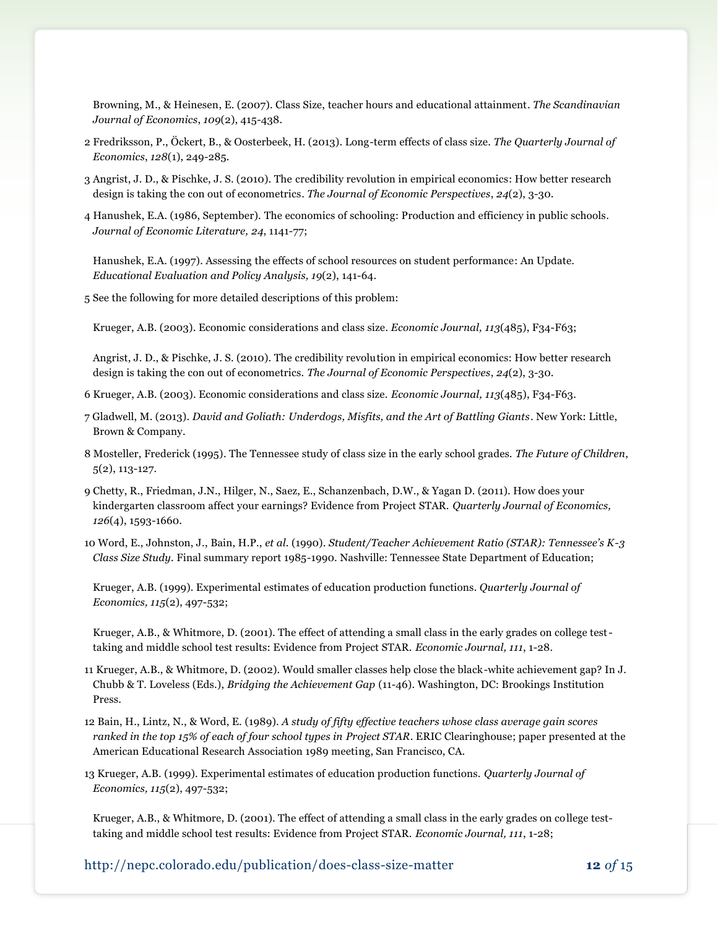Browning, M., & Heinesen, E. (2007). Class Size, teacher hours and educational attainment. *The Scandinavian Journal of Economics*, *109*(2), 415-438.

- 2 Fredriksson, P., Öckert, B., & Oosterbeek, H. (2013). Long-term effects of class size. *The Quarterly Journal of Economics*, *128*(1), 249-285.
- 3 Angrist, J. D., & Pischke, J. S. (2010). The credibility revolution in empirical economics: How better research design is taking the con out of econometrics. *The Journal of Economic Perspectives*, *24*(2), 3-30.
- 4 Hanushek, E.A. (1986, September). The economics of schooling: Production and efficiency in public schools. *Journal of Economic Literature, 24*, 1141-77;

Hanushek, E.A. (1997). Assessing the effects of school resources on student performance: An Update. *Educational Evaluation and Policy Analysis, 19*(2), 141-64.

5 See the following for more detailed descriptions of this problem:

Krueger, A.B. (2003). Economic considerations and class size. *Economic Journal, 113*(485), F34-F63;

Angrist, J. D., & Pischke, J. S. (2010). The credibility revolution in empirical economics: How better research design is taking the con out of econometrics. *The Journal of Economic Perspectives*, *24*(2), 3-30.

- 6 Krueger, A.B. (2003). Economic considerations and class size. *Economic Journal, 113*(485), F34-F63.
- 7 Gladwell, M. (2013). *David and Goliath: Underdogs, Misfits, and the Art of Battling Giants*. New York: Little, Brown & Company.
- 8 Mosteller, Frederick (1995). The Tennessee study of class size in the early school grades. *The Future of Children*, 5(2), 113-127.
- 9 Chetty, R., Friedman, J.N., Hilger, N., Saez, E., Schanzenbach, D.W., & Yagan D. (2011). How does your kindergarten classroom affect your earnings? Evidence from Project STAR. *Quarterly Journal of Economics, 126*(4), 1593-1660*.*

10 Word, E., Johnston, J., Bain, H.P., *et al.* (1990). *Student/Teacher Achievement Ratio (STAR): Tennessee's K-3 Class Size Study.* Final summary report 1985-1990. Nashville: Tennessee State Department of Education;

Krueger, A.B. (1999). Experimental estimates of education production functions. *Quarterly Journal of Economics, 115*(2), 497-532;

Krueger, A.B., & Whitmore, D. (2001). The effect of attending a small class in the early grades on college testtaking and middle school test results: Evidence from Project STAR. *Economic Journal, 111*, 1-28.

- 11 Krueger, A.B., & Whitmore, D. (2002). Would smaller classes help close the black-white achievement gap? In J. Chubb & T. Loveless (Eds.), *Bridging the Achievement Gap* (11-46). Washington, DC: Brookings Institution Press.
- 12 Bain, H., Lintz, N., & Word, E. (1989). *A study of fifty effective teachers whose class average gain scores ranked in the top 15% of each of four school types in Project STAR*. ERIC Clearinghouse; paper presented at the American Educational Research Association 1989 meeting, San Francisco, CA.
- 13 Krueger, A.B. (1999). Experimental estimates of education production functions. *Quarterly Journal of Economics, 115*(2), 497-532;

Krueger, A.B., & Whitmore, D. (2001). The effect of attending a small class in the early grades on college testtaking and middle school test results: Evidence from Project STAR. *Economic Journal, 111*, 1-28;

http://nepc.colorado.edu/publication/does-class-size-matter **12** *of* 15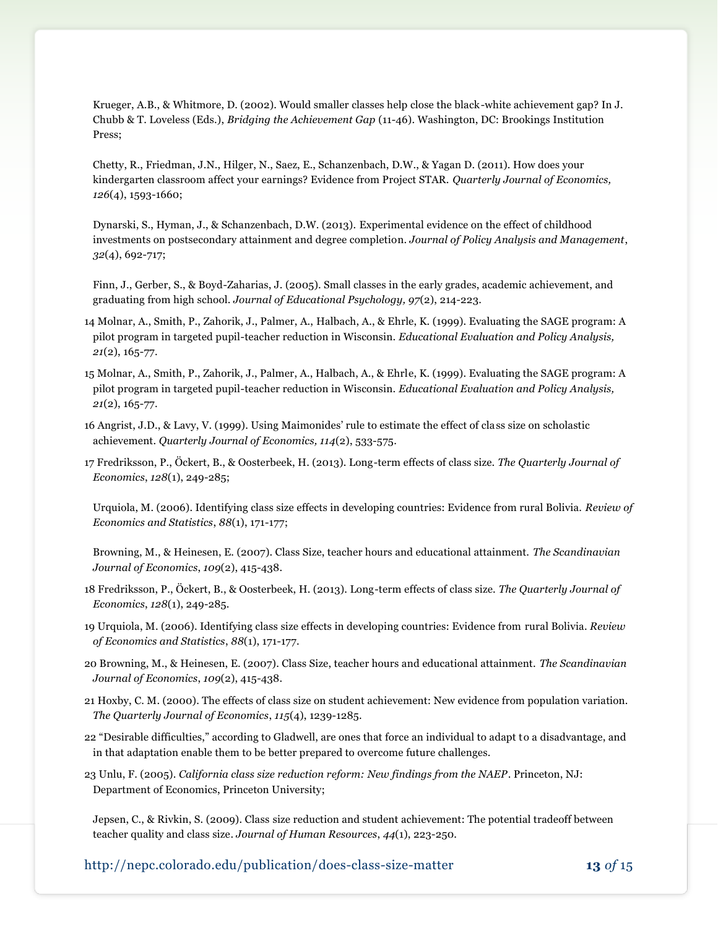Krueger, A.B., & Whitmore, D. (2002). Would smaller classes help close the black-white achievement gap? In J. Chubb & T. Loveless (Eds.), *Bridging the Achievement Gap* (11-46). Washington, DC: Brookings Institution Press;

Chetty, R., Friedman, J.N., Hilger, N., Saez, E., Schanzenbach, D.W., & Yagan D. (2011). How does your kindergarten classroom affect your earnings? Evidence from Project STAR. *Quarterly Journal of Economics, 126*(4), 1593-1660;

Dynarski, S., Hyman, J., & Schanzenbach, D.W. (2013). Experimental evidence on the effect of childhood investments on postsecondary attainment and degree completion. *Journal of Policy Analysis and Management*, *32*(4), 692-717;

Finn, J., Gerber, S., & Boyd-Zaharias, J. (2005). Small classes in the early grades, academic achievement, and graduating from high school. *Journal of Educational Psychology, 97*(2), 214-223.

- 14 Molnar, A., Smith, P., Zahorik, J., Palmer, A., Halbach, A., & Ehrle, K. (1999). Evaluating the SAGE program: A pilot program in targeted pupil-teacher reduction in Wisconsin. *Educational Evaluation and Policy Analysis, 21*(2), 165-77.
- 15 Molnar, A., Smith, P., Zahorik, J., Palmer, A., Halbach, A., & Ehrle, K. (1999). Evaluating the SAGE program: A pilot program in targeted pupil-teacher reduction in Wisconsin. *Educational Evaluation and Policy Analysis, 21*(2), 165-77.
- 16 Angrist, J.D., & Lavy, V. (1999). Using Maimonides' rule to estimate the effect of class size on scholastic achievement. *Quarterly Journal of Economics, 114*(2), 533-575.
- 17 Fredriksson, P., Öckert, B., & Oosterbeek, H. (2013). Long-term effects of class size. *The Quarterly Journal of Economics*, *128*(1), 249-285;

Urquiola, M. (2006). Identifying class size effects in developing countries: Evidence from rural Bolivia. *Review of Economics and Statistics*, *88*(1), 171-177;

Browning, M., & Heinesen, E. (2007). Class Size, teacher hours and educational attainment. *The Scandinavian Journal of Economics*, *109*(2), 415-438.

- 18 Fredriksson, P., Öckert, B., & Oosterbeek, H. (2013). Long-term effects of class size. *The Quarterly Journal of Economics*, *128*(1), 249-285.
- 19 Urquiola, M. (2006). Identifying class size effects in developing countries: Evidence from rural Bolivia. *Review of Economics and Statistics*, *88*(1), 171-177.
- 20 Browning, M., & Heinesen, E. (2007). Class Size, teacher hours and educational attainment. *The Scandinavian Journal of Economics*, *109*(2), 415-438.
- 21 Hoxby, C. M. (2000). The effects of class size on student achievement: New evidence from population variation. *The Quarterly Journal of Economics*, *115*(4), 1239-1285.
- 22 "Desirable difficulties," according to Gladwell, are ones that force an individual to adapt to a disadvantage, and in that adaptation enable them to be better prepared to overcome future challenges.
- 23 Unlu, F. (2005). *California class size reduction reform: New findings from the NAEP*. Princeton, NJ: Department of Economics, Princeton University;

Jepsen, C., & Rivkin, S. (2009). Class size reduction and student achievement: The potential tradeoff between teacher quality and class size. *Journal of Human Resources*, *44*(1), 223-250.

http://nepc.colorado.edu/publication/does-class-size-matter **13** *of* 15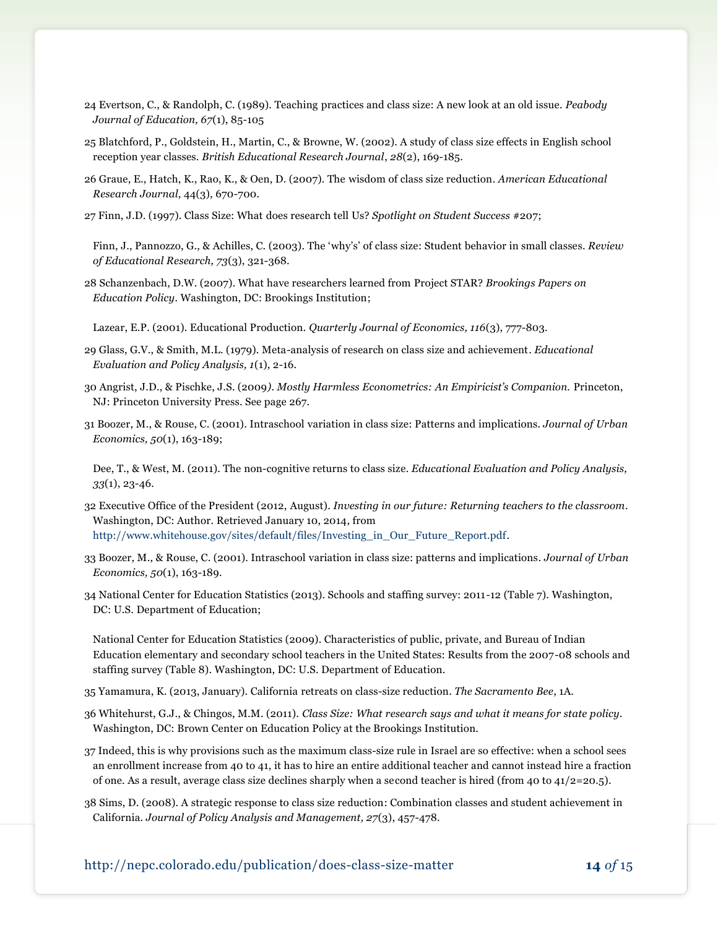- 24 Evertson, C., & Randolph, C. (1989). Teaching practices and class size: A new look at an old issue. *Peabody Journal of Education, 67*(1), 85-105
- 25 Blatchford, P., Goldstein, H., Martin, C., & Browne, W. (2002). A study of class size effects in English school reception year classes. *British Educational Research Journal*, *28*(2), 169-185.
- 26 Graue, E., Hatch, K., Rao, K., & Oen, D. (2007). The wisdom of class size reduction. *American Educational Research Journal*, 44(3), 670-700.
- 27 Finn, J.D. (1997). Class Size: What does research tell Us? *Spotlight on Student Success* #207;

Finn, J., Pannozzo, G., & Achilles, C. (2003). The 'why's' of class size: Student behavior in small classes. *Review of Educational Research, 73*(3), 321-368.

28 Schanzenbach, D.W. (2007). What have researchers learned from Project STAR? *Brookings Papers on Education Policy.* Washington, DC: Brookings Institution;

Lazear, E.P. (2001). Educational Production. *Quarterly Journal of Economics, 116*(3), 777-803.

- 29 Glass, G.V., & Smith, M.L. (1979). Meta-analysis of research on class size and achievement. *Educational Evaluation and Policy Analysis, 1*(1), 2-16.
- 30 Angrist, J.D., & Pischke, J.S. (2009*). Mostly Harmless Econometrics: An Empiricist's Companion.* Princeton, NJ: Princeton University Press. See page 267.
- 31 Boozer, M., & Rouse, C. (2001). Intraschool variation in class size: Patterns and implications. *Journal of Urban Economics, 50*(1), 163-189;
	- Dee, T., & West, M. (2011). The non-cognitive returns to class size. *Educational Evaluation and Policy Analysis, 33*(1), 23-46.
- 32 Executive Office of the President (2012, August). *Investing in our future: Returning teachers to the classroom*. Washington, DC: Author. Retrieved January 10, 2014, from [http://www.whitehouse.gov/sites/default/files/Investing\\_in\\_Our\\_Future\\_Report.pdf.](http://www.whitehouse.gov/sites/default/files/Investing_in_Our_Future_Report.pdf)
- 33 Boozer, M., & Rouse, C. (2001). Intraschool variation in class size: patterns and implications. *Journal of Urban Economics, 50*(1), 163-189.
- 34 National Center for Education Statistics (2013). Schools and staffing survey: 2011-12 (Table 7). Washington, DC: U.S. Department of Education;

National Center for Education Statistics (2009). Characteristics of public, private, and Bureau of Indian Education elementary and secondary school teachers in the United States: Results from the 2007-08 schools and staffing survey (Table 8). Washington, DC: U.S. Department of Education.

- 35 Yamamura, K. (2013, January). California retreats on class-size reduction. *The Sacramento Bee*, 1A.
- 36 Whitehurst, G.J., & Chingos, M.M. (2011). *Class Size: What research says and what it means for state policy*. Washington, DC: Brown Center on Education Policy at the Brookings Institution.
- 37 Indeed, this is why provisions such as the maximum class-size rule in Israel are so effective: when a school sees an enrollment increase from 40 to 41, it has to hire an entire additional teacher and cannot instead hire a fraction of one. As a result, average class size declines sharply when a second teacher is hired (from 40 to 41/2=20.5).
- 38 Sims, D. (2008). A strategic response to class size reduction: Combination classes and student achievement in California. *Journal of Policy Analysis and Management, 27*(3), 457-478.